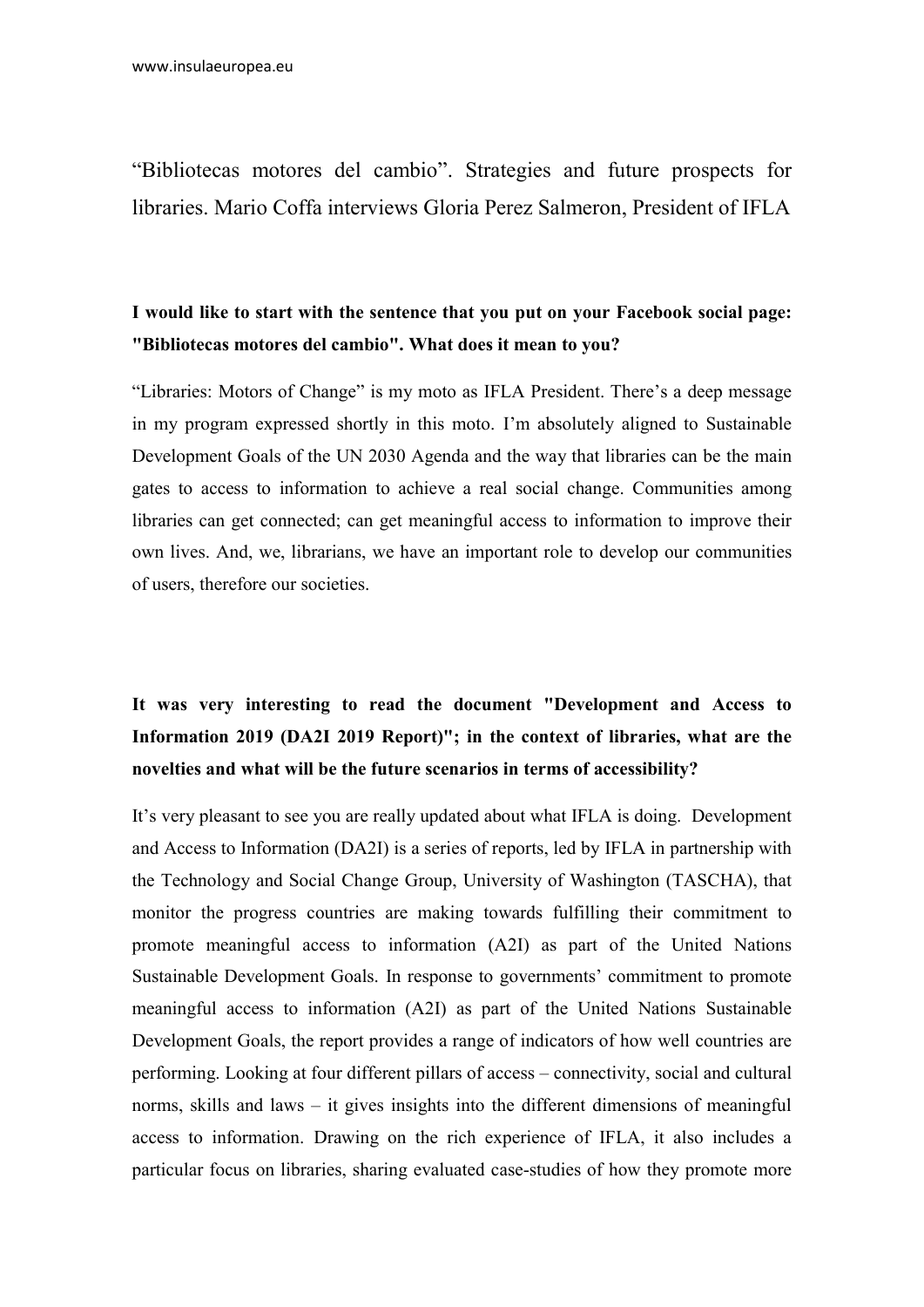"Bibliotecas motores del cambio". Strategies and future prospects for libraries. Mario Coffa interviews Gloria Perez Salmeron, President of IFLA

#### I would like to start with the sentence that you put on your Facebook social page: "Bibliotecas motores del cambio". What does it mean to you?

"Libraries: Motors of Change" is my moto as IFLA President. There's a deep message in my program expressed shortly in this moto. I'm absolutely aligned to Sustainable Development Goals of the UN 2030 Agenda and the way that libraries can be the main gates to access to information to achieve a real social change. Communities among libraries can get connected; can get meaningful access to information to improve their own lives. And, we, librarians, we have an important role to develop our communities of users, therefore our societies.

# It was very interesting to read the document "Development and Access to Information 2019 (DA2I 2019 Report)"; in the context of libraries, what are the novelties and what will be the future scenarios in terms of accessibility?

It's very pleasant to see you are really updated about what IFLA is doing. Development and Access to Information (DA2I) is a series of reports, led by IFLA in partnership with the Technology and Social Change Group, University of Washington (TASCHA), that monitor the progress countries are making towards fulfilling their commitment to promote meaningful access to information (A2I) as part of the United Nations Sustainable Development Goals. In response to governments' commitment to promote meaningful access to information (A2I) as part of the United Nations Sustainable Development Goals, the report provides a range of indicators of how well countries are performing. Looking at four different pillars of access – connectivity, social and cultural norms, skills and laws – it gives insights into the different dimensions of meaningful access to information. Drawing on the rich experience of IFLA, it also includes a particular focus on libraries, sharing evaluated case-studies of how they promote more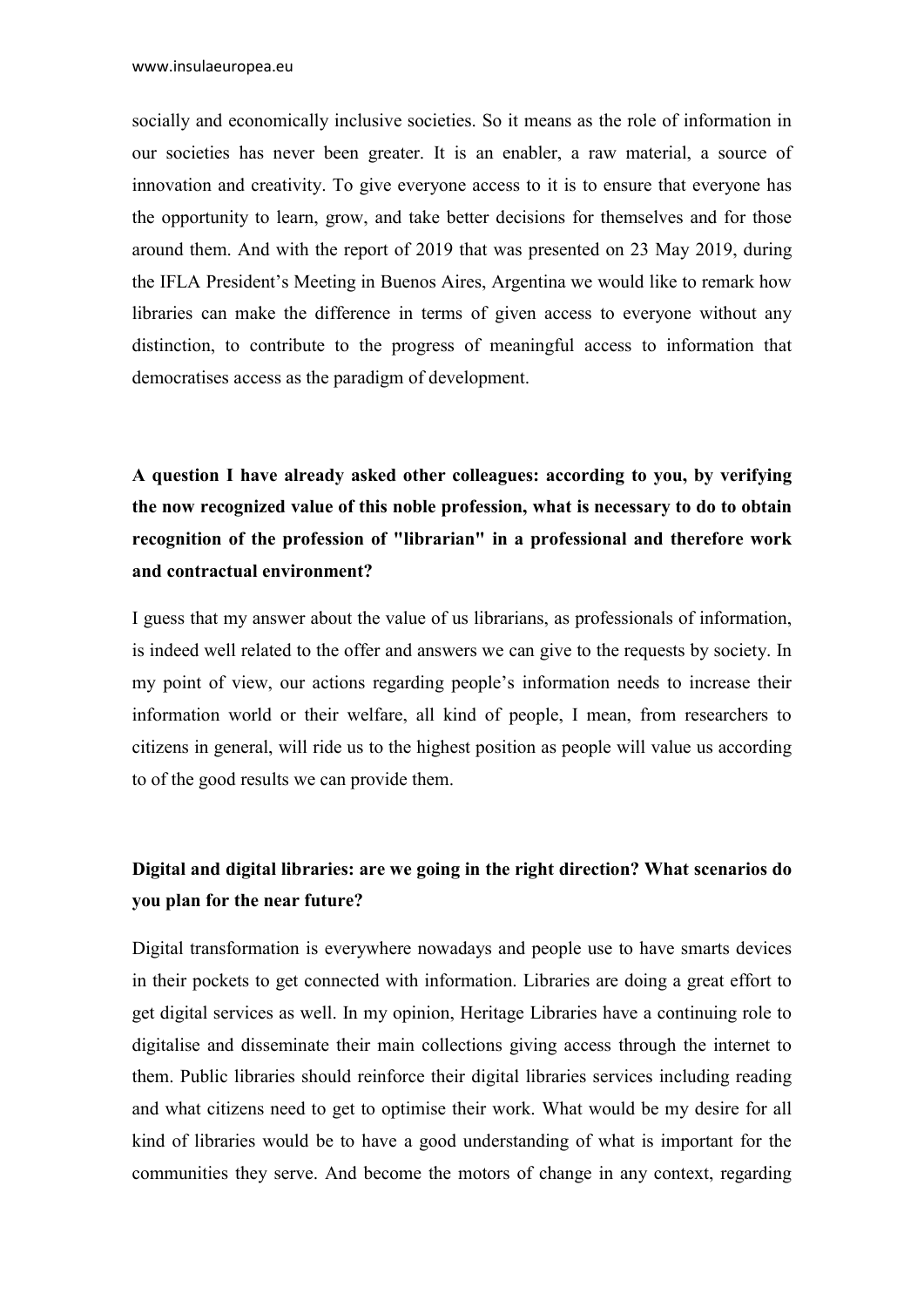socially and economically inclusive societies. So it means as the role of information in our societies has never been greater. It is an enabler, a raw material, a source of innovation and creativity. To give everyone access to it is to ensure that everyone has the opportunity to learn, grow, and take better decisions for themselves and for those around them. And with the report of 2019 that was presented on 23 May 2019, during the IFLA President's Meeting in Buenos Aires, Argentina we would like to remark how libraries can make the difference in terms of given access to everyone without any distinction, to contribute to the progress of meaningful access to information that democratises access as the paradigm of development.

A question I have already asked other colleagues: according to you, by verifying the now recognized value of this noble profession, what is necessary to do to obtain recognition of the profession of "librarian" in a professional and therefore work and contractual environment?

I guess that my answer about the value of us librarians, as professionals of information, is indeed well related to the offer and answers we can give to the requests by society. In my point of view, our actions regarding people's information needs to increase their information world or their welfare, all kind of people, I mean, from researchers to citizens in general, will ride us to the highest position as people will value us according to of the good results we can provide them.

### Digital and digital libraries: are we going in the right direction? What scenarios do you plan for the near future?

Digital transformation is everywhere nowadays and people use to have smarts devices in their pockets to get connected with information. Libraries are doing a great effort to get digital services as well. In my opinion, Heritage Libraries have a continuing role to digitalise and disseminate their main collections giving access through the internet to them. Public libraries should reinforce their digital libraries services including reading and what citizens need to get to optimise their work. What would be my desire for all kind of libraries would be to have a good understanding of what is important for the communities they serve. And become the motors of change in any context, regarding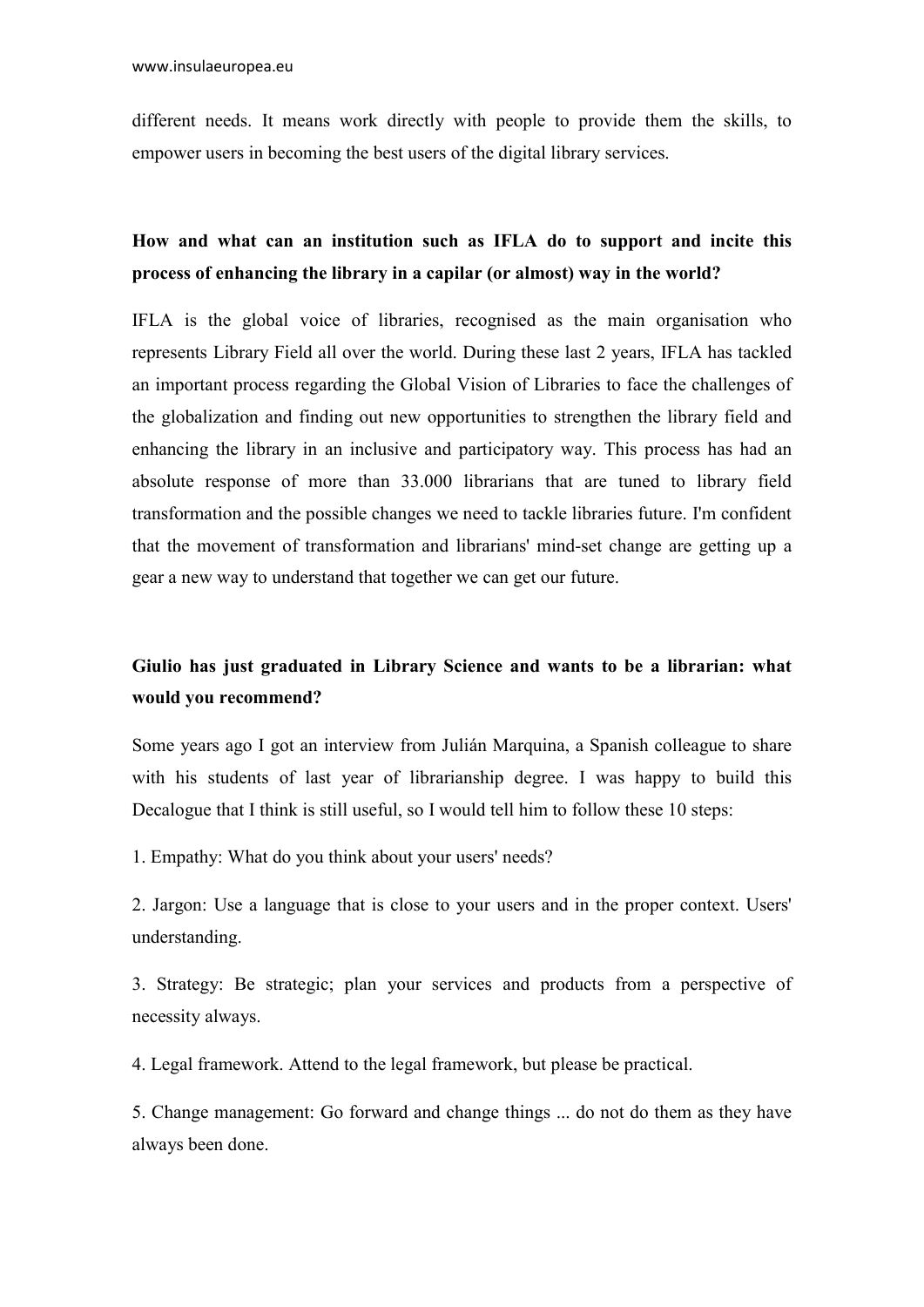different needs. It means work directly with people to provide them the skills, to empower users in becoming the best users of the digital library services.

### How and what can an institution such as IFLA do to support and incite this process of enhancing the library in a capilar (or almost) way in the world?

IFLA is the global voice of libraries, recognised as the main organisation who represents Library Field all over the world. During these last 2 years, IFLA has tackled an important process regarding the Global Vision of Libraries to face the challenges of the globalization and finding out new opportunities to strengthen the library field and enhancing the library in an inclusive and participatory way. This process has had an absolute response of more than 33.000 librarians that are tuned to library field transformation and the possible changes we need to tackle libraries future. I'm confident that the movement of transformation and librarians' mind-set change are getting up a gear a new way to understand that together we can get our future.

## Giulio has just graduated in Library Science and wants to be a librarian: what would you recommend?

Some years ago I got an interview from Julián Marquina, a Spanish colleague to share with his students of last year of librarianship degree. I was happy to build this Decalogue that I think is still useful, so I would tell him to follow these 10 steps:

1. Empathy: What do you think about your users' needs?

2. Jargon: Use a language that is close to your users and in the proper context. Users' understanding.

3. Strategy: Be strategic; plan your services and products from a perspective of necessity always.

4. Legal framework. Attend to the legal framework, but please be practical.

5. Change management: Go forward and change things ... do not do them as they have always been done.